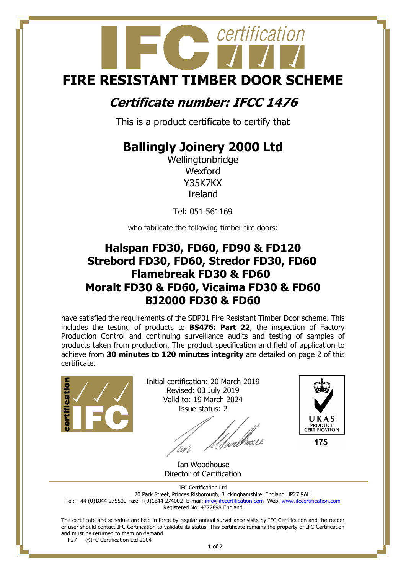# certification **FIRE RESISTANT TIMBER DOOR SCHEME**

### **Certificate number: IFCC 1476**

This is a product certificate to certify that

## **Ballingly Joinery 2000 Ltd**

Wellingtonbridge Wexford Y35K7KX Ireland

Tel: 051 561169

who fabricate the following timber fire doors:

#### **Halspan FD30, FD60, FD90 & FD120 Strebord FD30, FD60, Stredor FD30, FD60 Flamebreak FD30 & FD60 Moralt FD30 & FD60, Vicaima FD30 & FD60 BJ2000 FD30 & FD60**

have satisfied the requirements of the SDP01 Fire Resistant Timber Door scheme. This includes the testing of products to **BS476: Part 22**, the inspection of Factory Production Control and continuing surveillance audits and testing of samples of products taken from production. The product specification and field of application to achieve from **30 minutes to 120 minutes integrity** are detailed on page 2 of this certificate.



Initial certification: 20 March 2019 Revised: 03 July 2019 Valid to: 19 March 2024 Issue status: 2

/wellhouse



 Ian Woodhouse Director of Certification

IFC Certification Ltd 20 Park Street, Princes Risborough, Buckinghamshire. England HP27 9AH Tel: +44 (0)1844 275500 Fax: +(0)1844 274002 E-mail[: info@ifccertification.com](mailto:info@ifccertification.com) Web: [www.ifccertification.com](http://www.ifccertification.com/) Registered No: 4777898 England

The certificate and schedule are held in force by regular annual surveillance visits by IFC Certification and the reader or user should contact IFC Certification to validate its status. This certificate remains the property of IFC Certification and must be returned to them on demand.<br>F27  $\odot$  FC Certification Ltd 2004

©IFC Certification Ltd 2004